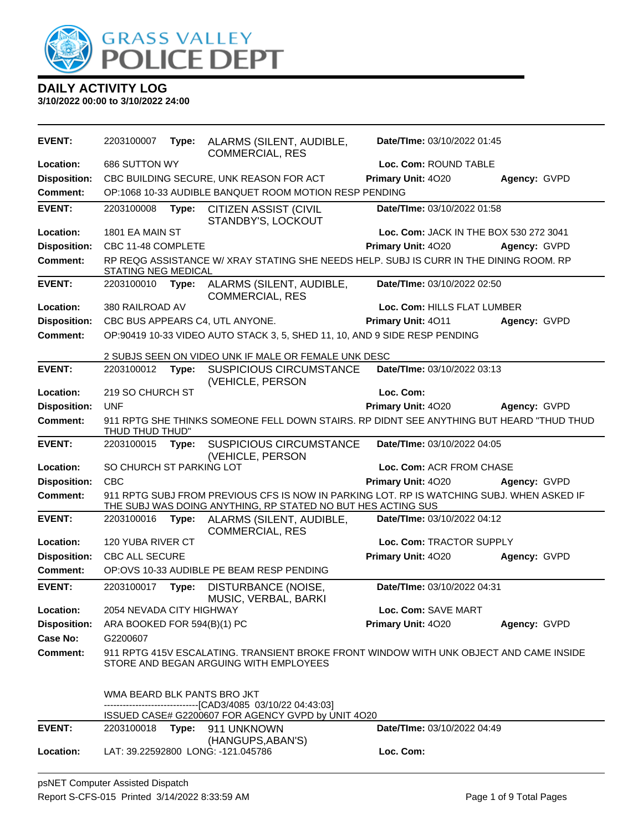

| <b>EVENT:</b>       | 2203100007                  | Type: | ALARMS (SILENT, AUDIBLE,<br><b>COMMERCIAL, RES</b>                                                                               | Date/TIme: 03/10/2022 01:45            |              |
|---------------------|-----------------------------|-------|----------------------------------------------------------------------------------------------------------------------------------|----------------------------------------|--------------|
| Location:           | 686 SUTTON WY               |       |                                                                                                                                  | Loc. Com: ROUND TABLE                  |              |
| <b>Disposition:</b> |                             |       | CBC BUILDING SECURE, UNK REASON FOR ACT                                                                                          | Primary Unit: 4020                     | Agency: GVPD |
| <b>Comment:</b>     |                             |       | OP:1068 10-33 AUDIBLE BANQUET ROOM MOTION RESP PENDING                                                                           |                                        |              |
| <b>EVENT:</b>       | 2203100008                  | Type: | <b>CITIZEN ASSIST (CIVIL</b><br>STANDBY'S, LOCKOUT                                                                               | Date/TIme: 03/10/2022 01:58            |              |
| Location:           | 1801 EA MAIN ST             |       |                                                                                                                                  | Loc. Com: JACK IN THE BOX 530 272 3041 |              |
| <b>Disposition:</b> | CBC 11-48 COMPLETE          |       |                                                                                                                                  | Primary Unit: 4020                     | Agency: GVPD |
| <b>Comment:</b>     | STATING NEG MEDICAL         |       | RP REQG ASSISTANCE W/ XRAY STATING SHE NEEDS HELP. SUBJ IS CURR IN THE DINING ROOM. RP                                           |                                        |              |
| <b>EVENT:</b>       | 2203100010                  | Type: | ALARMS (SILENT, AUDIBLE,<br><b>COMMERCIAL, RES</b>                                                                               | Date/TIme: 03/10/2022 02:50            |              |
| Location:           | 380 RAILROAD AV             |       |                                                                                                                                  | Loc. Com: HILLS FLAT LUMBER            |              |
| <b>Disposition:</b> |                             |       | CBC BUS APPEARS C4, UTL ANYONE.                                                                                                  | Primary Unit: 4011                     | Agency: GVPD |
| Comment:            |                             |       | OP:90419 10-33 VIDEO AUTO STACK 3, 5, SHED 11, 10, AND 9 SIDE RESP PENDING                                                       |                                        |              |
|                     |                             |       | 2 SUBJS SEEN ON VIDEO UNK IF MALE OR FEMALE UNK DESC                                                                             |                                        |              |
| <b>EVENT:</b>       | 2203100012                  | Type: | <b>SUSPICIOUS CIRCUMSTANCE</b><br>(VEHICLE, PERSON                                                                               | Date/TIme: 03/10/2022 03:13            |              |
| Location:           | 219 SO CHURCH ST            |       |                                                                                                                                  | Loc. Com:                              |              |
| <b>Disposition:</b> | <b>UNF</b>                  |       |                                                                                                                                  | Primary Unit: 4020                     | Agency: GVPD |
| <b>Comment:</b>     | THUD THUD THUD"             |       | 911 RPTG SHE THINKS SOMEONE FELL DOWN STAIRS. RP DIDNT SEE ANYTHING BUT HEARD "THUD THUD                                         |                                        |              |
| <b>EVENT:</b>       | 2203100015                  | Type: | <b>SUSPICIOUS CIRCUMSTANCE</b>                                                                                                   | Date/TIme: 03/10/2022 04:05            |              |
| Location:           | SO CHURCH ST PARKING LOT    |       | (VEHICLE, PERSON                                                                                                                 | Loc. Com: ACR FROM CHASE               |              |
| <b>Disposition:</b> | <b>CBC</b>                  |       |                                                                                                                                  | Primary Unit: 4020                     | Agency: GVPD |
| <b>Comment:</b>     |                             |       | 911 RPTG SUBJ FROM PREVIOUS CFS IS NOW IN PARKING LOT. RP IS WATCHING SUBJ. WHEN ASKED IF                                        |                                        |              |
|                     |                             |       | THE SUBJ WAS DOING ANYTHING, RP STATED NO BUT HES ACTING SUS                                                                     |                                        |              |
| <b>EVENT:</b>       | 2203100016                  | Type: | ALARMS (SILENT, AUDIBLE,<br><b>COMMERCIAL, RES</b>                                                                               | Date/TIme: 03/10/2022 04:12            |              |
| Location:           | 120 YUBA RIVER CT           |       |                                                                                                                                  | Loc. Com: TRACTOR SUPPLY               |              |
| <b>Disposition:</b> | <b>CBC ALL SECURE</b>       |       |                                                                                                                                  | Primary Unit: 4020                     | Agency: GVPD |
| <b>Comment:</b>     |                             |       | OP:OVS 10-33 AUDIBLE PE BEAM RESP PENDING                                                                                        |                                        |              |
| <b>EVENT:</b>       | 2203100017                  | Type: | DISTURBANCE (NOISE,<br>MUSIC, VERBAL, BARKI                                                                                      | Date/TIme: 03/10/2022 04:31            |              |
| Location:           | 2054 NEVADA CITY HIGHWAY    |       |                                                                                                                                  | Loc. Com: SAVE MART                    |              |
| <b>Disposition:</b> | ARA BOOKED FOR 594(B)(1) PC |       |                                                                                                                                  | Primary Unit: 4020                     | Agency: GVPD |
| Case No:            | G2200607                    |       |                                                                                                                                  |                                        |              |
| <b>Comment:</b>     |                             |       | 911 RPTG 415V ESCALATING. TRANSIENT BROKE FRONT WINDOW WITH UNK OBJECT AND CAME INSIDE<br>STORE AND BEGAN ARGUING WITH EMPLOYEES |                                        |              |
|                     | WMA BEARD BLK PANTS BRO JKT |       | -------------------------------[CAD3/4085 03/10/22 04:43:03]                                                                     |                                        |              |
|                     |                             |       | ISSUED CASE# G2200607 FOR AGENCY GVPD by UNIT 4O20                                                                               |                                        |              |
| <b>EVENT:</b>       | 2203100018                  |       | Type: 911 UNKNOWN                                                                                                                | <b>Date/Time: 03/10/2022 04:49</b>     |              |
| <b>Location:</b>    |                             |       | (HANGUPS, ABAN'S)<br>LAT: 39.22592800 LONG: -121.045786                                                                          | Loc. Com:                              |              |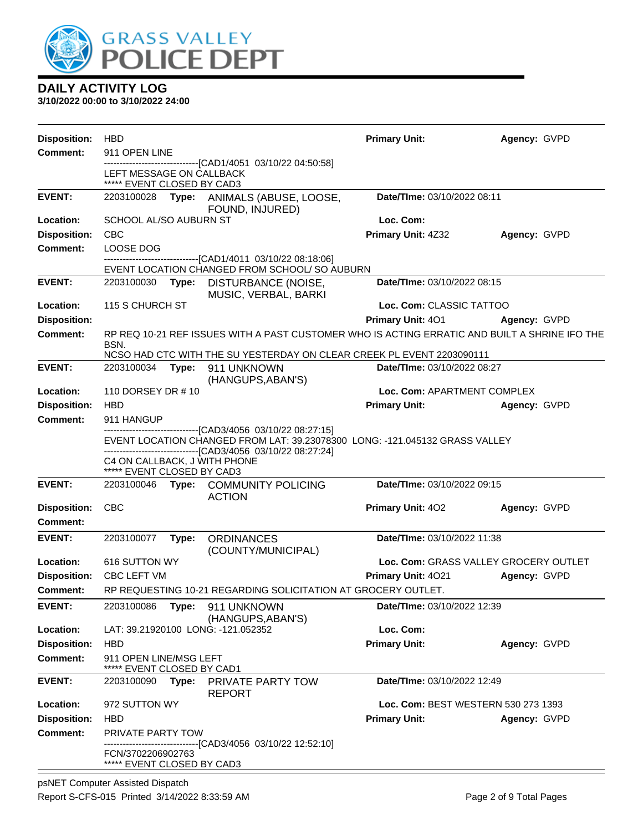

| <b>Disposition:</b>                    | <b>HBD</b>                                                                                                                                  |       |                                                                                                          | <b>Primary Unit:</b>                | Agency: GVPD                          |
|----------------------------------------|---------------------------------------------------------------------------------------------------------------------------------------------|-------|----------------------------------------------------------------------------------------------------------|-------------------------------------|---------------------------------------|
| <b>Comment:</b>                        | 911 OPEN LINE                                                                                                                               |       |                                                                                                          |                                     |                                       |
|                                        | LEFT MESSAGE ON CALLBACK<br>***** EVENT CLOSED BY CAD3                                                                                      |       | -------------------------------[CAD1/4051 03/10/22 04:50:58]                                             |                                     |                                       |
| <b>EVENT:</b>                          | 2203100028                                                                                                                                  |       | Type: ANIMALS (ABUSE, LOOSE,<br>FOUND, INJURED)                                                          | Date/TIme: 03/10/2022 08:11         |                                       |
| Location:                              | SCHOOL AL/SO AUBURN ST                                                                                                                      |       |                                                                                                          | Loc. Com:                           |                                       |
| <b>Disposition:</b>                    | <b>CBC</b>                                                                                                                                  |       |                                                                                                          | Primary Unit: 4Z32                  | Agency: GVPD                          |
| <b>Comment:</b>                        | LOOSE DOG                                                                                                                                   |       |                                                                                                          |                                     |                                       |
|                                        |                                                                                                                                             |       | --------------------------[CAD1/4011_03/10/22_08:18:06]<br>EVENT LOCATION CHANGED FROM SCHOOL/ SO AUBURN |                                     |                                       |
| <b>EVENT:</b>                          | 2203100030                                                                                                                                  |       | Type: DISTURBANCE (NOISE,<br>MUSIC, VERBAL, BARKI                                                        | Date/TIme: 03/10/2022 08:15         |                                       |
| Location:                              | 115 S CHURCH ST                                                                                                                             |       |                                                                                                          | Loc. Com: CLASSIC TATTOO            |                                       |
| <b>Disposition:</b>                    |                                                                                                                                             |       |                                                                                                          | <b>Primary Unit: 401</b>            | Agency: GVPD                          |
| <b>Comment:</b>                        |                                                                                                                                             |       | RP REQ 10-21 REF ISSUES WITH A PAST CUSTOMER WHO IS ACTING ERRATIC AND BUILT A SHRINE IFO THE            |                                     |                                       |
|                                        | BSN.                                                                                                                                        |       | NCSO HAD CTC WITH THE SU YESTERDAY ON CLEAR CREEK PL EVENT 2203090111                                    |                                     |                                       |
| <b>EVENT:</b>                          | 2203100034                                                                                                                                  |       | Type: 911 UNKNOWN<br>(HANGUPS, ABAN'S)                                                                   | Date/TIme: 03/10/2022 08:27         |                                       |
| Location:                              | 110 DORSEY DR #10                                                                                                                           |       |                                                                                                          | Loc. Com: APARTMENT COMPLEX         |                                       |
| <b>Disposition:</b>                    | <b>HBD</b>                                                                                                                                  |       |                                                                                                          | <b>Primary Unit:</b>                | Agency: GVPD                          |
| <b>Comment:</b>                        | 911 HANGUP                                                                                                                                  |       |                                                                                                          |                                     |                                       |
|                                        | -------------------------------[CAD3/4056_03/10/22_08:27:15]<br>EVENT LOCATION CHANGED FROM LAT: 39.23078300 LONG: -121.045132 GRASS VALLEY |       |                                                                                                          |                                     |                                       |
|                                        | C4 ON CALLBACK, J WITH PHONE<br>***** EVENT CLOSED BY CAD3                                                                                  |       | ------------------------------[CAD3/4056 03/10/22 08:27:24]                                              |                                     |                                       |
| <b>EVENT:</b>                          | 2203100046                                                                                                                                  |       | Type: COMMUNITY POLICING<br><b>ACTION</b>                                                                | Date/TIme: 03/10/2022 09:15         |                                       |
| <b>Disposition:</b><br><b>Comment:</b> | <b>CBC</b>                                                                                                                                  |       |                                                                                                          | <b>Primary Unit: 402</b>            | Agency: GVPD                          |
| <b>EVENT:</b>                          | 2203100077                                                                                                                                  | Type: | <b>ORDINANCES</b><br>(COUNTY/MUNICIPAL)                                                                  | Date/TIme: 03/10/2022 11:38         |                                       |
| Location:                              | 616 SUTTON WY                                                                                                                               |       |                                                                                                          |                                     | Loc. Com: GRASS VALLEY GROCERY OUTLET |
| <b>Disposition:</b>                    | <b>CBC LEFT VM</b>                                                                                                                          |       |                                                                                                          | Primary Unit: 4021                  | Agency: GVPD                          |
| <b>Comment:</b>                        |                                                                                                                                             |       | RP REQUESTING 10-21 REGARDING SOLICITATION AT GROCERY OUTLET.                                            |                                     |                                       |
| <b>EVENT:</b>                          | 2203100086                                                                                                                                  | Type: | 911 UNKNOWN<br>(HANGUPS, ABAN'S)                                                                         | Date/TIme: 03/10/2022 12:39         |                                       |
| Location:                              |                                                                                                                                             |       | LAT: 39.21920100 LONG: -121.052352                                                                       | Loc. Com:                           |                                       |
| <b>Disposition:</b>                    | <b>HBD</b>                                                                                                                                  |       |                                                                                                          | <b>Primary Unit:</b>                | Agency: GVPD                          |
| <b>Comment:</b>                        | 911 OPEN LINE/MSG LEFT<br>EVENT CLOSED BY CAD1                                                                                              |       |                                                                                                          |                                     |                                       |
| <b>EVENT:</b>                          | 2203100090                                                                                                                                  | Type: | PRIVATE PARTY TOW<br><b>REPORT</b>                                                                       | Date/TIme: 03/10/2022 12:49         |                                       |
| Location:                              | 972 SUTTON WY                                                                                                                               |       |                                                                                                          | Loc. Com: BEST WESTERN 530 273 1393 |                                       |
| <b>Disposition:</b>                    | <b>HBD</b>                                                                                                                                  |       |                                                                                                          | <b>Primary Unit:</b>                | Agency: GVPD                          |
| <b>Comment:</b>                        | <b>PRIVATE PARTY TOW</b>                                                                                                                    |       |                                                                                                          |                                     |                                       |
|                                        | FCN/3702206902763<br>***** EVENT CLOSED BY CAD3                                                                                             |       | -----------------[CAD3/4056_03/10/22 12:52:10]                                                           |                                     |                                       |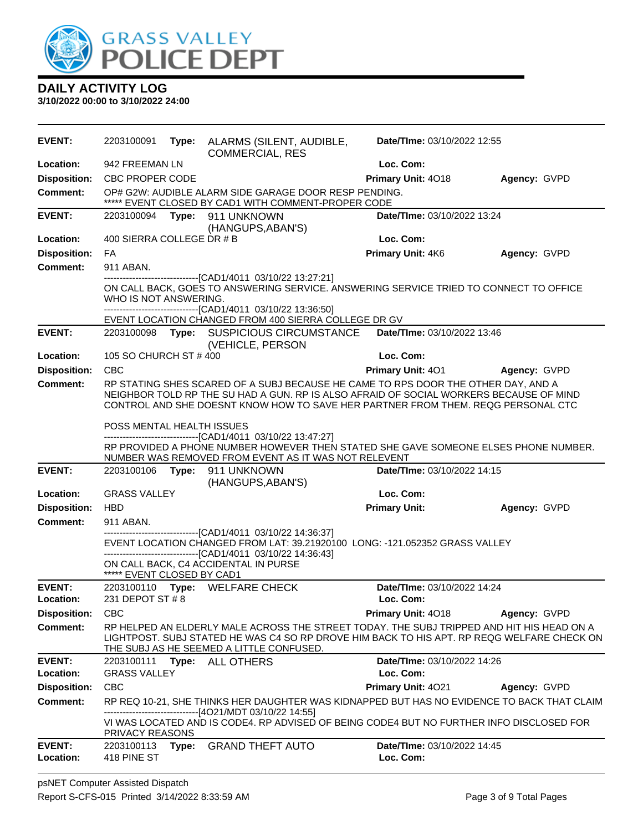

| EVENT:                     | 2203100091                 | Type: ALARMS (SILENT, AUDIBLE,<br><b>COMMERCIAL, RES</b>                                                                                                                                                                                                        | Date/TIme: 03/10/2022 12:55              |              |
|----------------------------|----------------------------|-----------------------------------------------------------------------------------------------------------------------------------------------------------------------------------------------------------------------------------------------------------------|------------------------------------------|--------------|
| Location:                  | 942 FREEMAN LN             |                                                                                                                                                                                                                                                                 | Loc. Com:                                |              |
| <b>Disposition:</b>        | <b>CBC PROPER CODE</b>     |                                                                                                                                                                                                                                                                 | Primary Unit: 4018                       | Agency: GVPD |
| <b>Comment:</b>            |                            | OP# G2W: AUDIBLE ALARM SIDE GARAGE DOOR RESP PENDING.<br>***** EVENT CLOSED BY CAD1 WITH COMMENT-PROPER CODE                                                                                                                                                    |                                          |              |
| <b>EVENT:</b>              |                            | 2203100094 Type: 911 UNKNOWN<br>(HANGUPS, ABAN'S)                                                                                                                                                                                                               | Date/TIme: 03/10/2022 13:24              |              |
| Location:                  | 400 SIERRA COLLEGE DR # B  |                                                                                                                                                                                                                                                                 | Loc. Com:                                |              |
| <b>Disposition:</b>        | FA                         |                                                                                                                                                                                                                                                                 | Primary Unit: 4K6                        | Agency: GVPD |
| <b>Comment:</b>            | 911 ABAN.                  |                                                                                                                                                                                                                                                                 |                                          |              |
|                            | WHO IS NOT ANSWERING.      | ---------------------------------[CAD1/4011 03/10/22 13:27:21]<br>ON CALL BACK, GOES TO ANSWERING SERVICE. ANSWERING SERVICE TRIED TO CONNECT TO OFFICE<br>-------------------------------[CAD1/4011 03/10/22 13:36:50]                                         |                                          |              |
|                            |                            | EVENT LOCATION CHANGED FROM 400 SIERRA COLLEGE DR GV                                                                                                                                                                                                            |                                          |              |
| <b>EVENT:</b>              |                            | 2203100098 Type: SUSPICIOUS CIRCUMSTANCE<br>(VEHICLE, PERSON                                                                                                                                                                                                    | Date/TIme: 03/10/2022 13:46              |              |
| Location:                  | 105 SO CHURCH ST #400      |                                                                                                                                                                                                                                                                 | Loc. Com:                                |              |
| <b>Disposition:</b>        | <b>CBC</b>                 |                                                                                                                                                                                                                                                                 | <b>Primary Unit: 401</b>                 | Agency: GVPD |
| <b>Comment:</b>            |                            | RP STATING SHES SCARED OF A SUBJ BECAUSE HE CAME TO RPS DOOR THE OTHER DAY, AND A<br>NEIGHBOR TOLD RP THE SU HAD A GUN. RP IS ALSO AFRAID OF SOCIAL WORKERS BECAUSE OF MIND<br>CONTROL AND SHE DOESNT KNOW HOW TO SAVE HER PARTNER FROM THEM. REQG PERSONAL CTC |                                          |              |
|                            | POSS MENTAL HEALTH ISSUES  |                                                                                                                                                                                                                                                                 |                                          |              |
|                            |                            | -------------------------------[CAD1/4011 03/10/22 13:47:27]<br>RP PROVIDED A PHONE NUMBER HOWEVER THEN STATED SHE GAVE SOMEONE ELSES PHONE NUMBER.<br>NUMBER WAS REMOVED FROM EVENT AS IT WAS NOT RELEVENT                                                     |                                          |              |
| <b>EVENT:</b>              | 2203100106                 | Type: 911 UNKNOWN<br>(HANGUPS, ABAN'S)                                                                                                                                                                                                                          | Date/TIme: 03/10/2022 14:15              |              |
| Location:                  | <b>GRASS VALLEY</b>        |                                                                                                                                                                                                                                                                 | Loc. Com:                                |              |
| <b>Disposition:</b>        | <b>HBD</b>                 |                                                                                                                                                                                                                                                                 | <b>Primary Unit:</b>                     | Agency: GVPD |
| <b>Comment:</b>            | 911 ABAN.                  |                                                                                                                                                                                                                                                                 |                                          |              |
|                            |                            | -------------------------------[CAD1/4011 03/10/22 14:36:37]<br>EVENT LOCATION CHANGED FROM LAT: 39.21920100 LONG: -121.052352 GRASS VALLEY                                                                                                                     |                                          |              |
|                            |                            | -------------------------------[CAD1/4011 03/10/22 14:36:43]                                                                                                                                                                                                    |                                          |              |
|                            | ***** EVENT CLOSED BY CAD1 | ON CALL BACK, C4 ACCIDENTAL IN PURSE                                                                                                                                                                                                                            |                                          |              |
| <b>EVENT:</b>              |                            | 2203100110 Type: WELFARE CHECK                                                                                                                                                                                                                                  | Date/TIme: 03/10/2022 14:24              |              |
| Location:                  | 231 DEPOT ST # 8           |                                                                                                                                                                                                                                                                 | Loc. Com:                                |              |
| <b>Disposition:</b>        | <b>CBC</b>                 |                                                                                                                                                                                                                                                                 | <b>Primary Unit: 4018</b>                | Agency: GVPD |
| <b>Comment:</b>            |                            | RP HELPED AN ELDERLY MALE ACROSS THE STREET TODAY. THE SUBJ TRIPPED AND HIT HIS HEAD ON A<br>LIGHTPOST. SUBJ STATED HE WAS C4 SO RP DROVE HIM BACK TO HIS APT. RP REQG WELFARE CHECK ON<br>THE SUBJ AS HE SEEMED A LITTLE CONFUSED.                             |                                          |              |
| <b>EVENT:</b>              |                            | 2203100111 Type: ALL OTHERS                                                                                                                                                                                                                                     | Date/TIme: 03/10/2022 14:26              |              |
| Location:                  | <b>GRASS VALLEY</b>        |                                                                                                                                                                                                                                                                 | Loc. Com:                                |              |
| <b>Disposition:</b>        | <b>CBC</b>                 |                                                                                                                                                                                                                                                                 | Primary Unit: 4021                       | Agency: GVPD |
| <b>Comment:</b>            |                            | RP REQ 10-21, SHE THINKS HER DAUGHTER WAS KIDNAPPED BUT HAS NO EVIDENCE TO BACK THAT CLAIM<br>-------------------------------[4O21/MDT 03/10/22 14:55]                                                                                                          |                                          |              |
|                            | PRIVACY REASONS            | VI WAS LOCATED AND IS CODE4. RP ADVISED OF BEING CODE4 BUT NO FURTHER INFO DISCLOSED FOR                                                                                                                                                                        |                                          |              |
| <b>EVENT:</b><br>Location: | 2203100113<br>418 PINE ST  | Type: GRAND THEFT AUTO                                                                                                                                                                                                                                          | Date/TIme: 03/10/2022 14:45<br>Loc. Com: |              |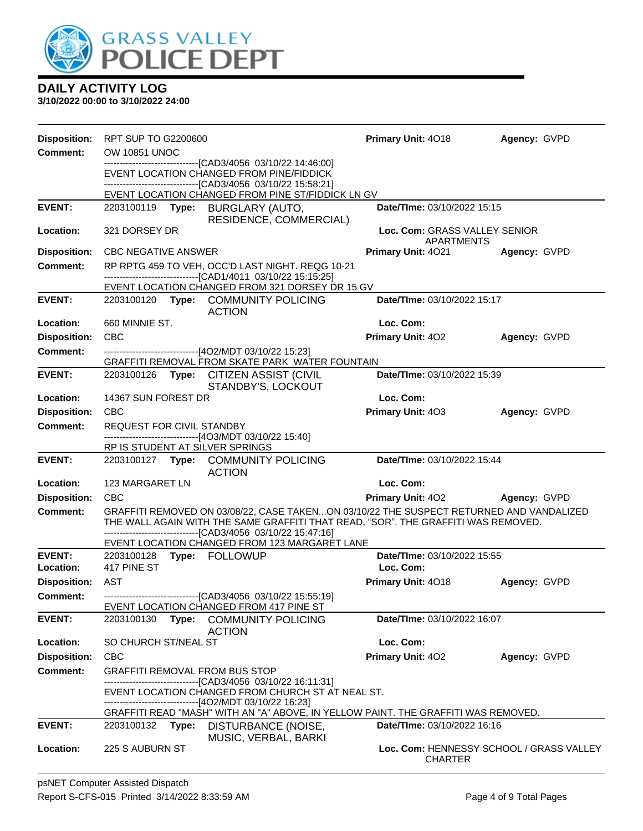

| <b>Disposition:</b> | RPT SUP TO G2200600                                                                                                                                                                                                                          | Primary Unit: 4018                                         | Agency: GVPD |
|---------------------|----------------------------------------------------------------------------------------------------------------------------------------------------------------------------------------------------------------------------------------------|------------------------------------------------------------|--------------|
| <b>Comment:</b>     | <b>OW 10851 UNOC</b>                                                                                                                                                                                                                         |                                                            |              |
|                     | ------------------------------[CAD3/4056 03/10/22 14:46:00]<br>EVENT LOCATION CHANGED FROM PINE/FIDDICK<br>-------------------------------[CAD3/4056_03/10/22 15:58:21]                                                                      |                                                            |              |
|                     | EVENT LOCATION CHANGED FROM PINE ST/FIDDICK LN GV                                                                                                                                                                                            |                                                            |              |
| <b>EVENT:</b>       | 2203100119 Type: BURGLARY (AUTO,<br>RESIDENCE, COMMERCIAL)                                                                                                                                                                                   | Date/TIme: 03/10/2022 15:15                                |              |
| Location:           | 321 DORSEY DR                                                                                                                                                                                                                                | Loc. Com: GRASS VALLEY SENIOR<br>APARTMENTS                |              |
| <b>Disposition:</b> | <b>CBC NEGATIVE ANSWER</b>                                                                                                                                                                                                                   | <b>Primary Unit: 4021</b>                                  | Agency: GVPD |
| <b>Comment:</b>     | RP RPTG 459 TO VEH, OCC'D LAST NIGHT. REQG 10-21                                                                                                                                                                                             |                                                            |              |
|                     | -------------------------------[CAD1/4011 03/10/22 15:15:25]<br>EVENT LOCATION CHANGED FROM 321 DORSEY DR 15 GV                                                                                                                              |                                                            |              |
| <b>EVENT:</b>       | 2203100120 Type: COMMUNITY POLICING<br><b>ACTION</b>                                                                                                                                                                                         | Date/TIme: 03/10/2022 15:17                                |              |
| Location:           | 660 MINNIE ST.                                                                                                                                                                                                                               | Loc. Com:                                                  |              |
| <b>Disposition:</b> | <b>CBC</b>                                                                                                                                                                                                                                   | <b>Primary Unit: 402</b>                                   | Agency: GVPD |
| <b>Comment:</b>     | ------------------------------[4O2/MDT 03/10/22 15:23]<br>GRAFFITI REMOVAL FROM SKATE PARK WATER FOUNTAIN                                                                                                                                    |                                                            |              |
| <b>EVENT:</b>       | 2203100126 Type: CITIZEN ASSIST (CIVIL<br>STANDBY'S, LOCKOUT                                                                                                                                                                                 | Date/TIme: 03/10/2022 15:39                                |              |
| Location:           | 14367 SUN FOREST DR                                                                                                                                                                                                                          | Loc. Com:                                                  |              |
| <b>Disposition:</b> | <b>CBC</b>                                                                                                                                                                                                                                   | Primary Unit: 403                                          | Agency: GVPD |
| <b>Comment:</b>     | REQUEST FOR CIVIL STANDBY                                                                                                                                                                                                                    |                                                            |              |
|                     | -------------------------[4O3/MDT 03/10/22 15:40]<br>RP IS STUDENT AT SILVER SPRINGS                                                                                                                                                         |                                                            |              |
| <b>EVENT:</b>       | 2203100127 Type: COMMUNITY POLICING<br><b>ACTION</b>                                                                                                                                                                                         | Date/TIme: 03/10/2022 15:44                                |              |
| Location:           | 123 MARGARET LN                                                                                                                                                                                                                              | Loc. Com:                                                  |              |
| <b>Disposition:</b> | <b>CBC</b>                                                                                                                                                                                                                                   | <b>Primary Unit: 402</b>                                   | Agency: GVPD |
| Comment:            | GRAFFITI REMOVED ON 03/08/22, CASE TAKENON 03/10/22 THE SUSPECT RETURNED AND VANDALIZED<br>THE WALL AGAIN WITH THE SAME GRAFFITI THAT READ, "SOR". THE GRAFFITI WAS REMOVED.<br>-------------------------------[CAD3/4056 03/10/22 15:47:16] |                                                            |              |
| <b>EVENT:</b>       | EVENT LOCATION CHANGED FROM 123 MARGARET LANE                                                                                                                                                                                                | Date/TIme: 03/10/2022 15:55                                |              |
| Location:           | 417 PINE ST                                                                                                                                                                                                                                  | Loc. Com:                                                  |              |
| <b>Disposition:</b> | <b>AST</b>                                                                                                                                                                                                                                   | <b>Primary Unit: 4018</b>                                  | Agency: GVPD |
| Comment:            | ---------------------------------[CAD3/4056 03/10/22 15:55:19]                                                                                                                                                                               |                                                            |              |
|                     | EVENT LOCATION CHANGED FROM 417 PINE ST                                                                                                                                                                                                      |                                                            |              |
| <b>EVENT:</b>       | 2203100130<br>Type:<br><b>COMMUNITY POLICING</b><br><b>ACTION</b>                                                                                                                                                                            | Date/TIme: 03/10/2022 16:07                                |              |
| Location:           | SO CHURCH ST/NEAL ST                                                                                                                                                                                                                         | Loc. Com:                                                  |              |
| <b>Disposition:</b> | <b>CBC</b>                                                                                                                                                                                                                                   | Primary Unit: 402                                          | Agency: GVPD |
| <b>Comment:</b>     | <b>GRAFFITI REMOVAL FROM BUS STOP</b><br>-----------------------[CAD3/4056_03/10/22 16:11:31]                                                                                                                                                |                                                            |              |
|                     | EVENT LOCATION CHANGED FROM CHURCH ST AT NEAL ST.                                                                                                                                                                                            |                                                            |              |
|                     | -------------------------------[4O2/MDT 03/10/22 16:23]                                                                                                                                                                                      |                                                            |              |
| <b>EVENT:</b>       | GRAFFITI READ "MASH" WITH AN "A" ABOVE, IN YELLOW PAINT. THE GRAFFITI WAS REMOVED.<br>Type: DISTURBANCE (NOISE,<br>2203100132                                                                                                                | Date/TIme: 03/10/2022 16:16                                |              |
|                     | MUSIC, VERBAL, BARKI                                                                                                                                                                                                                         |                                                            |              |
| Location:           | 225 S AUBURN ST                                                                                                                                                                                                                              | Loc. Com: HENNESSY SCHOOL / GRASS VALLEY<br><b>CHARTER</b> |              |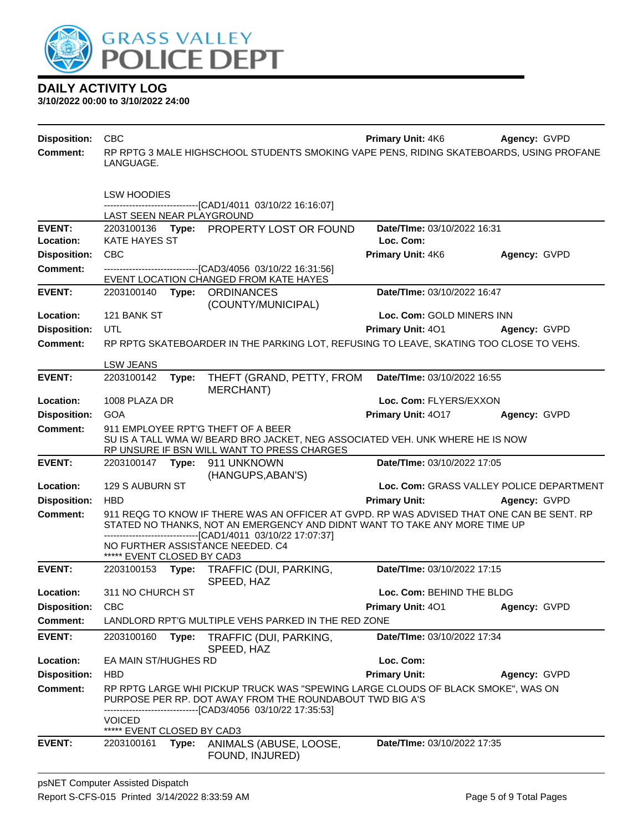

| <b>Disposition:</b> | <b>CBC</b>                 |       |                                                                                                                                                                                                                                         | <b>Primary Unit: 4K6</b>    | Agency: GVPD                             |
|---------------------|----------------------------|-------|-----------------------------------------------------------------------------------------------------------------------------------------------------------------------------------------------------------------------------------------|-----------------------------|------------------------------------------|
| <b>Comment:</b>     | LANGUAGE.                  |       | RP RPTG 3 MALE HIGHSCHOOL STUDENTS SMOKING VAPE PENS, RIDING SKATEBOARDS, USING PROFANE                                                                                                                                                 |                             |                                          |
|                     | <b>LSW HOODIES</b>         |       |                                                                                                                                                                                                                                         |                             |                                          |
|                     | LAST SEEN NEAR PLAYGROUND  |       | -------------------------------[CAD1/4011 03/10/22 16:16:07]                                                                                                                                                                            |                             |                                          |
| <b>EVENT:</b>       |                            |       | 2203100136 Type: PROPERTY LOST OR FOUND                                                                                                                                                                                                 | Date/TIme: 03/10/2022 16:31 |                                          |
| Location:           | <b>KATE HAYES ST</b>       |       |                                                                                                                                                                                                                                         | Loc. Com:                   |                                          |
| <b>Disposition:</b> | <b>CBC</b>                 |       |                                                                                                                                                                                                                                         | Primary Unit: 4K6           | Agency: GVPD                             |
| <b>Comment:</b>     |                            |       | --------------------------------[CAD3/4056 03/10/22 16:31:56]                                                                                                                                                                           |                             |                                          |
|                     |                            |       | EVENT LOCATION CHANGED FROM KATE HAYES                                                                                                                                                                                                  |                             |                                          |
| <b>EVENT:</b>       |                            |       | 2203100140 Type: ORDINANCES<br>(COUNTY/MUNICIPAL)                                                                                                                                                                                       | Date/TIme: 03/10/2022 16:47 |                                          |
| Location:           | 121 BANK ST                |       |                                                                                                                                                                                                                                         | Loc. Com: GOLD MINERS INN   |                                          |
| <b>Disposition:</b> | UTL                        |       |                                                                                                                                                                                                                                         | Primary Unit: 401           | Agency: GVPD                             |
| <b>Comment:</b>     |                            |       | RP RPTG SKATEBOARDER IN THE PARKING LOT, REFUSING TO LEAVE, SKATING TOO CLOSE TO VEHS.                                                                                                                                                  |                             |                                          |
|                     | <b>LSW JEANS</b>           |       |                                                                                                                                                                                                                                         |                             |                                          |
| <b>EVENT:</b>       | 2203100142                 | Type: | THEFT (GRAND, PETTY, FROM                                                                                                                                                                                                               | Date/TIme: 03/10/2022 16:55 |                                          |
| Location:           | 1008 PLAZA DR              |       | <b>MERCHANT)</b>                                                                                                                                                                                                                        | Loc. Com: FLYERS/EXXON      |                                          |
| <b>Disposition:</b> | <b>GOA</b>                 |       |                                                                                                                                                                                                                                         |                             |                                          |
| <b>Comment:</b>     |                            |       | 911 EMPLOYEE RPT'G THEFT OF A BEER                                                                                                                                                                                                      | Primary Unit: 4017          | Agency: GVPD                             |
|                     |                            |       | SU IS A TALL WMA W/ BEARD BRO JACKET, NEG ASSOCIATED VEH. UNK WHERE HE IS NOW<br>RP UNSURE IF BSN WILL WANT TO PRESS CHARGES                                                                                                            |                             |                                          |
| <b>EVENT:</b>       |                            |       | (HANGUPS, ABAN'S)                                                                                                                                                                                                                       | Date/TIme: 03/10/2022 17:05 |                                          |
| Location:           | 129 S AUBURN ST            |       |                                                                                                                                                                                                                                         |                             | Loc. Com: GRASS VALLEY POLICE DEPARTMENT |
| <b>Disposition:</b> | <b>HBD</b>                 |       |                                                                                                                                                                                                                                         | <b>Primary Unit:</b>        | Agency: GVPD                             |
| <b>Comment:</b>     |                            |       | 911 REQG TO KNOW IF THERE WAS AN OFFICER AT GVPD. RP WAS ADVISED THAT ONE CAN BE SENT. RP<br>STATED NO THANKS, NOT AN EMERGENCY AND DIDNT WANT TO TAKE ANY MORE TIME UP<br>-------------------------------[CAD1/4011_03/10/22 17:07:37] |                             |                                          |
|                     | ***** EVENT CLOSED BY CAD3 |       | NO FURTHER ASSISTANCE NEEDED. C4                                                                                                                                                                                                        |                             |                                          |
| <b>EVENT:</b>       |                            |       | 2203100153 Type: TRAFFIC (DUI, PARKING,<br>SPEED, HAZ                                                                                                                                                                                   | Date/TIme: 03/10/2022 17:15 |                                          |
| Location:           | 311 NO CHURCH ST           |       |                                                                                                                                                                                                                                         | Loc. Com: BEHIND THE BLDG   |                                          |
| <b>Disposition:</b> | <b>CBC</b>                 |       |                                                                                                                                                                                                                                         | Primary Unit: 401           | Agency: GVPD                             |
| Comment:            |                            |       | LANDLORD RPT'G MULTIPLE VEHS PARKED IN THE RED ZONE                                                                                                                                                                                     |                             |                                          |
| <b>EVENT:</b>       | 2203100160                 | Type: | TRAFFIC (DUI, PARKING,<br>SPEED, HAZ                                                                                                                                                                                                    | Date/TIme: 03/10/2022 17:34 |                                          |
| Location:           | EA MAIN ST/HUGHES RD       |       |                                                                                                                                                                                                                                         | Loc. Com:                   |                                          |
| <b>Disposition:</b> | <b>HBD</b>                 |       |                                                                                                                                                                                                                                         | <b>Primary Unit:</b>        | Agency: GVPD                             |
| <b>Comment:</b>     |                            |       | RP RPTG LARGE WHI PICKUP TRUCK WAS "SPEWING LARGE CLOUDS OF BLACK SMOKE", WAS ON<br>PURPOSE PER RP. DOT AWAY FROM THE ROUNDABOUT TWD BIG A'S<br>------[CAD3/4056 03/10/22 17:35:53]                                                     |                             |                                          |
|                     | <b>VOICED</b>              |       |                                                                                                                                                                                                                                         |                             |                                          |
|                     | ***** EVENT CLOSED BY CAD3 |       |                                                                                                                                                                                                                                         |                             |                                          |
| <b>EVENT:</b>       | 2203100161                 |       | Type: ANIMALS (ABUSE, LOOSE,<br>FOUND, INJURED)                                                                                                                                                                                         | Date/TIme: 03/10/2022 17:35 |                                          |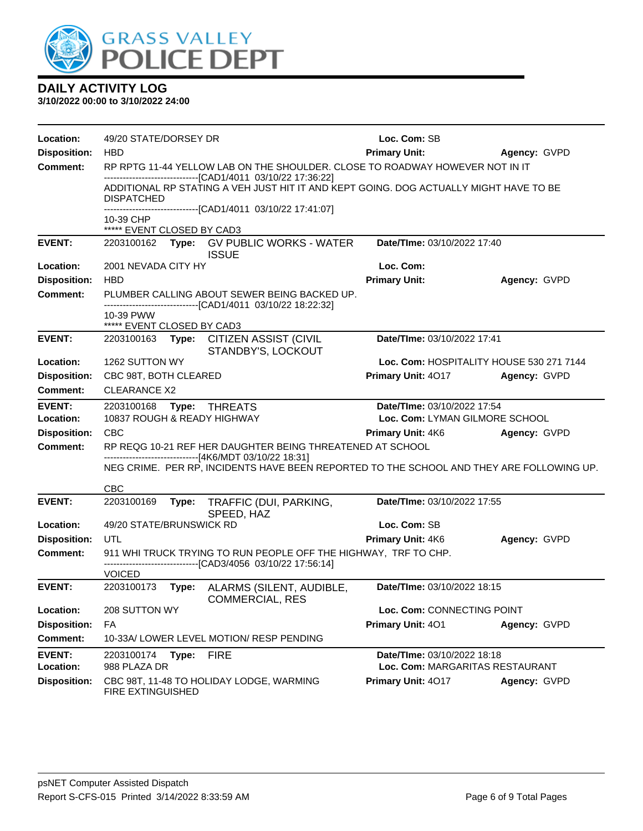

| Location:           | 49/20 STATE/DORSEY DR                   |       |                                                                                                                                                       | Loc. Com: SB                             |              |
|---------------------|-----------------------------------------|-------|-------------------------------------------------------------------------------------------------------------------------------------------------------|------------------------------------------|--------------|
| <b>Disposition:</b> | <b>HBD</b>                              |       |                                                                                                                                                       | <b>Primary Unit:</b>                     | Agency: GVPD |
| <b>Comment:</b>     |                                         |       | RP RPTG 11-44 YELLOW LAB ON THE SHOULDER. CLOSE TO ROADWAY HOWEVER NOT IN IT                                                                          |                                          |              |
|                     | DISPATCHED                              |       | -------------------------------[CAD1/4011 03/10/22 17:36:22]<br>ADDITIONAL RP STATING A VEH JUST HIT IT AND KEPT GOING. DOG ACTUALLY MIGHT HAVE TO BE |                                          |              |
|                     | 10-39 CHP<br>***** EVENT CLOSED BY CAD3 |       | ------------------------------[CAD1/4011_03/10/22 17:41:07]                                                                                           |                                          |              |
| <b>EVENT:</b>       |                                         |       | 2203100162 Type: GV PUBLIC WORKS - WATER<br><b>ISSUE</b>                                                                                              | Date/TIme: 03/10/2022 17:40              |              |
| Location:           | 2001 NEVADA CITY HY                     |       |                                                                                                                                                       | Loc. Com:                                |              |
| <b>Disposition:</b> | <b>HBD</b>                              |       |                                                                                                                                                       | <b>Primary Unit:</b>                     | Agency: GVPD |
| <b>Comment:</b>     |                                         |       | PLUMBER CALLING ABOUT SEWER BEING BACKED UP.<br>-------------------------------[CAD1/4011 03/10/22 18:22:32]                                          |                                          |              |
|                     | 10-39 PWW<br>***** EVENT CLOSED BY CAD3 |       |                                                                                                                                                       |                                          |              |
| <b>EVENT:</b>       |                                         |       | 2203100163 Type: CITIZEN ASSIST (CIVIL<br>STANDBY'S, LOCKOUT                                                                                          | Date/TIme: 03/10/2022 17:41              |              |
| Location:           | 1262 SUTTON WY                          |       |                                                                                                                                                       | Loc. Com: HOSPITALITY HOUSE 530 271 7144 |              |
| <b>Disposition:</b> | CBC 98T, BOTH CLEARED                   |       |                                                                                                                                                       | Primary Unit: 4017                       | Agency: GVPD |
| <b>Comment:</b>     | <b>CLEARANCE X2</b>                     |       |                                                                                                                                                       |                                          |              |
| <b>EVENT:</b>       | 2203100168                              |       | Type: THREATS                                                                                                                                         | Date/TIme: 03/10/2022 17:54              |              |
| Location:           | 10837 ROUGH & READY HIGHWAY             |       |                                                                                                                                                       | Loc. Com: LYMAN GILMORE SCHOOL           |              |
| <b>Disposition:</b> | <b>CBC</b>                              |       |                                                                                                                                                       | <b>Primary Unit: 4K6</b>                 | Agency: GVPD |
| <b>Comment:</b>     |                                         |       | RP REQG 10-21 REF HER DAUGHTER BEING THREATENED AT SCHOOL                                                                                             |                                          |              |
|                     |                                         |       | -------------------------------[4K6/MDT 03/10/22 18:31]<br>NEG CRIME. PER RP, INCIDENTS HAVE BEEN REPORTED TO THE SCHOOL AND THEY ARE FOLLOWING UP.   |                                          |              |
|                     | <b>CBC</b>                              |       |                                                                                                                                                       |                                          |              |
| <b>EVENT:</b>       | 2203100169                              | Type: | TRAFFIC (DUI, PARKING,<br>SPEED, HAZ                                                                                                                  | Date/TIme: 03/10/2022 17:55              |              |
| Location:           | 49/20 STATE/BRUNSWICK RD                |       |                                                                                                                                                       | Loc. Com: SB                             |              |
| <b>Disposition:</b> | UTL                                     |       |                                                                                                                                                       | Primary Unit: 4K6                        | Agency: GVPD |
| <b>Comment:</b>     |                                         |       | 911 WHI TRUCK TRYING TO RUN PEOPLE OFF THE HIGHWAY, TRF TO CHP.<br>-------------------------------[CAD3/4056 03/10/22 17:56:14]                       |                                          |              |
|                     | <b>VOICED</b>                           |       |                                                                                                                                                       |                                          |              |
| <b>EVENT:</b>       | 2203100173                              |       | Type: ALARMS (SILENT, AUDIBLE,<br><b>COMMERCIAL, RES</b>                                                                                              | Date/TIme: 03/10/2022 18:15              |              |
| Location:           | 208 SUTTON WY                           |       |                                                                                                                                                       | Loc. Com: CONNECTING POINT               |              |
| <b>Disposition:</b> | FA                                      |       |                                                                                                                                                       | Primary Unit: 401                        | Agency: GVPD |
| <b>Comment:</b>     |                                         |       | 10-33A/ LOWER LEVEL MOTION/ RESP PENDING                                                                                                              |                                          |              |
| <b>EVENT:</b>       | 2203100174                              | Type: | <b>FIRE</b>                                                                                                                                           | Date/TIme: 03/10/2022 18:18              |              |
| Location:           | 988 PLAZA DR                            |       |                                                                                                                                                       | Loc. Com: MARGARITAS RESTAURANT          |              |
| <b>Disposition:</b> | FIRE EXTINGUISHED                       |       | CBC 98T, 11-48 TO HOLIDAY LODGE, WARMING                                                                                                              | Primary Unit: 4017                       | Agency: GVPD |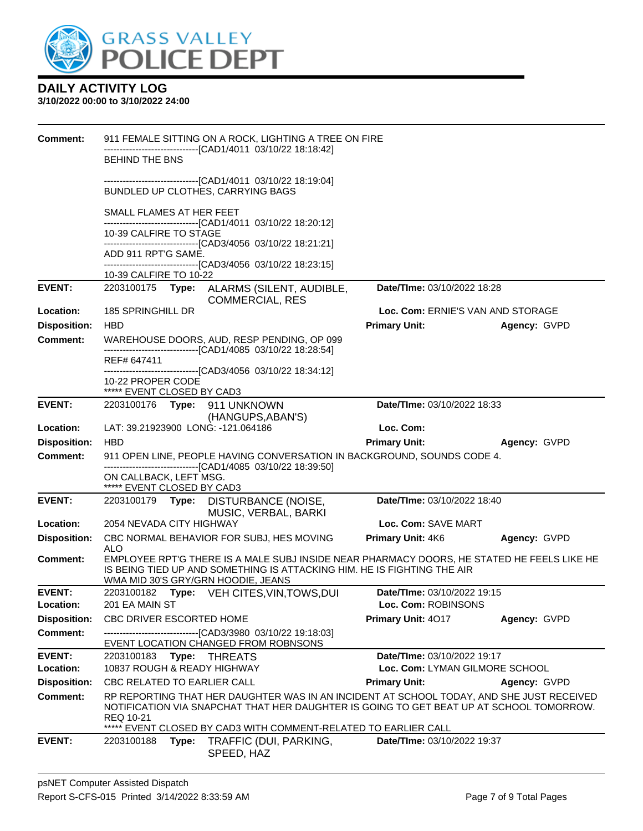

| <b>Comment:</b>     | 911 FEMALE SITTING ON A ROCK, LIGHTING A TREE ON FIRE                                                                                                                               |                                   |              |
|---------------------|-------------------------------------------------------------------------------------------------------------------------------------------------------------------------------------|-----------------------------------|--------------|
|                     | -------------------------------[CAD1/4011_03/10/22 18:18:42]<br><b>BEHIND THE BNS</b>                                                                                               |                                   |              |
|                     | ------------------------------[CAD1/4011_03/10/22 18:19:04]                                                                                                                         |                                   |              |
|                     | BUNDLED UP CLOTHES, CARRYING BAGS                                                                                                                                                   |                                   |              |
|                     | SMALL FLAMES AT HER FEET                                                                                                                                                            |                                   |              |
|                     | -------------------------------[CAD1/4011_03/10/22_18:20:12]<br>10-39 CALFIRE TO STAGE                                                                                              |                                   |              |
|                     | -------------------------------[CAD3/4056_03/10/22 18:21:21]                                                                                                                        |                                   |              |
|                     | ADD 911 RPT'G SAME.<br>-------------------------------[CAD3/4056_03/10/22 18:23:15]                                                                                                 |                                   |              |
|                     | 10-39 CALFIRE TO 10-22                                                                                                                                                              |                                   |              |
| <b>EVENT:</b>       | 2203100175 Type: ALARMS (SILENT, AUDIBLE,<br><b>COMMERCIAL, RES</b>                                                                                                                 | Date/TIme: 03/10/2022 18:28       |              |
| Location:           | 185 SPRINGHILL DR                                                                                                                                                                   | Loc. Com: ERNIE'S VAN AND STORAGE |              |
| <b>Disposition:</b> | <b>HBD</b>                                                                                                                                                                          | <b>Primary Unit:</b>              | Agency: GVPD |
| <b>Comment:</b>     | WAREHOUSE DOORS, AUD, RESP PENDING, OP 099<br>-------------------------------[CAD1/4085 03/10/22 18:28:54]                                                                          |                                   |              |
|                     | REF# 647411                                                                                                                                                                         |                                   |              |
|                     | ---------------------------------[CAD3/4056_03/10/22_18:34:12]<br>10-22 PROPER CODE                                                                                                 |                                   |              |
|                     | ***** EVENT CLOSED BY CAD3                                                                                                                                                          |                                   |              |
| <b>EVENT:</b>       | 2203100176 Type: 911 UNKNOWN<br>(HANGUPS, ABAN'S)                                                                                                                                   | Date/TIme: 03/10/2022 18:33       |              |
| Location:           | LAT: 39.21923900 LONG: -121.064186                                                                                                                                                  | Loc. Com:                         |              |
| <b>Disposition:</b> | <b>HBD</b>                                                                                                                                                                          | <b>Primary Unit:</b>              | Agency: GVPD |
| Comment:            | 911 OPEN LINE, PEOPLE HAVING CONVERSATION IN BACKGROUND, SOUNDS CODE 4.<br>-------------------------------[CAD1/4085 03/10/22 18:39:50]                                             |                                   |              |
|                     | ON CALLBACK, LEFT MSG.                                                                                                                                                              |                                   |              |
|                     | ***** EVENT CLOSED BY CAD3                                                                                                                                                          |                                   |              |
| <b>EVENT:</b>       | 2203100179<br>Type: DISTURBANCE (NOISE,<br>MUSIC, VERBAL, BARKI                                                                                                                     | Date/TIme: 03/10/2022 18:40       |              |
| Location:           | 2054 NEVADA CITY HIGHWAY                                                                                                                                                            | Loc. Com: SAVE MART               |              |
| <b>Disposition:</b> | CBC NORMAL BEHAVIOR FOR SUBJ, HES MOVING<br><b>ALO</b>                                                                                                                              | Primary Unit: 4K6                 | Agency: GVPD |
| <b>Comment:</b>     | EMPLOYEE RPT'G THERE IS A MALE SUBJ INSIDE NEAR PHARMACY DOORS, HE STATED HE FEELS LIKE HE<br>IS BEING TIED UP AND SOMETHING IS ATTACKING HIM. HE IS FIGHTING THE AIR               |                                   |              |
| <b>EVENT:</b>       | WMA MID 30'S GRY/GRN HOODIE, JEANS<br>2203100182 Type: VEH CITES, VIN, TOWS, DUI                                                                                                    | Date/TIme: 03/10/2022 19:15       |              |
| Location:           | 201 EA MAIN ST                                                                                                                                                                      | Loc. Com: ROBINSONS               |              |
| <b>Disposition:</b> | CBC DRIVER ESCORTED HOME                                                                                                                                                            | Primary Unit: 4017                | Agency: GVPD |
| <b>Comment:</b>     | --------------------[CAD3/3980_03/10/22 19:18:03]<br>EVENT LOCATION CHANGED FROM ROBNSONS                                                                                           |                                   |              |
| <b>EVENT:</b>       | 2203100183<br>Type:<br>THREATS                                                                                                                                                      | Date/TIme: 03/10/2022 19:17       |              |
| Location:           | 10837 ROUGH & READY HIGHWAY                                                                                                                                                         | Loc. Com: LYMAN GILMORE SCHOOL    |              |
| <b>Disposition:</b> | <b>CBC RELATED TO EARLIER CALL</b>                                                                                                                                                  | <b>Primary Unit:</b>              | Agency: GVPD |
| <b>Comment:</b>     | RP REPORTING THAT HER DAUGHTER WAS IN AN INCIDENT AT SCHOOL TODAY, AND SHE JUST RECEIVED<br>NOTIFICATION VIA SNAPCHAT THAT HER DAUGHTER IS GOING TO GET BEAT UP AT SCHOOL TOMORROW. |                                   |              |
|                     | REQ 10-21<br>EVENT CLOSED BY CAD3 WITH COMMENT-RELATED TO EARLIER CALL                                                                                                              |                                   |              |
| <b>EVENT:</b>       | 2203100188<br>Type:<br>TRAFFIC (DUI, PARKING,<br>SPEED, HAZ                                                                                                                         | Date/TIme: 03/10/2022 19:37       |              |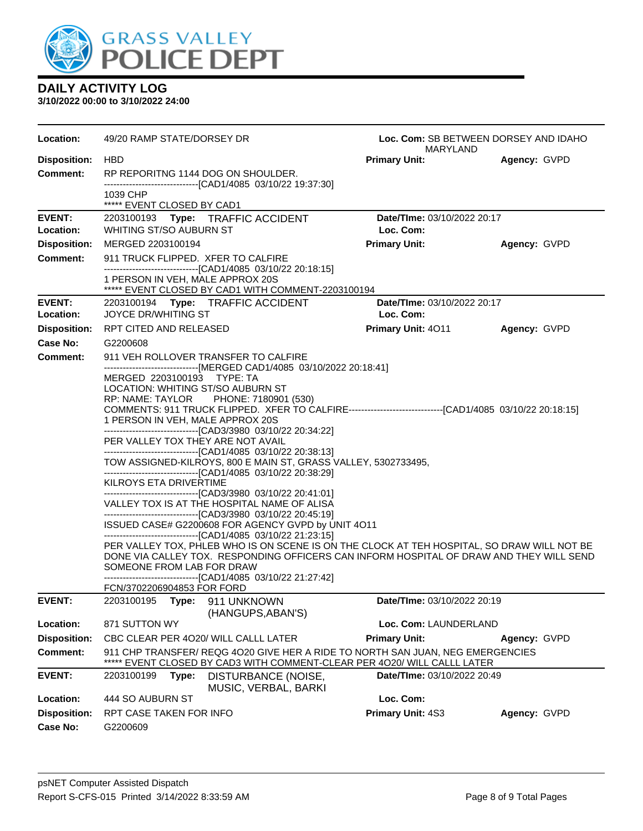

| Location:                  | 49/20 RAMP STATE/DORSEY DR<br>Loc. Com: SB BETWEEN DORSEY AND IDAHO<br>MARYLAND                                                                                                       |                                          |              |  |
|----------------------------|---------------------------------------------------------------------------------------------------------------------------------------------------------------------------------------|------------------------------------------|--------------|--|
| <b>Disposition:</b>        | <b>HBD</b>                                                                                                                                                                            | <b>Primary Unit:</b>                     | Agency: GVPD |  |
| <b>Comment:</b>            | RP REPORITNG 1144 DOG ON SHOULDER.<br>-------------------------------[CAD1/4085 03/10/22 19:37:30]                                                                                    |                                          |              |  |
|                            | 1039 CHP<br>***** EVENT CLOSED BY CAD1                                                                                                                                                |                                          |              |  |
| <b>EVENT:</b><br>Location: | 2203100193 Type: TRAFFIC ACCIDENT<br>WHITING ST/SO AUBURN ST                                                                                                                          | Date/TIme: 03/10/2022 20:17<br>Loc. Com: |              |  |
| <b>Disposition:</b>        | MERGED 2203100194                                                                                                                                                                     | <b>Primary Unit:</b>                     | Agency: GVPD |  |
| <b>Comment:</b>            | 911 TRUCK FLIPPED. XFER TO CALFIRE                                                                                                                                                    |                                          |              |  |
|                            | -------------------------------[CAD1/4085 03/10/22 20:18:15]<br>1 PERSON IN VEH, MALE APPROX 20S<br>***** EVENT CLOSED BY CAD1 WITH COMMENT-2203100194                                |                                          |              |  |
| <b>EVENT:</b>              | 2203100194 Type: TRAFFIC ACCIDENT                                                                                                                                                     | Date/TIme: 03/10/2022 20:17              |              |  |
| Location:                  | <b>JOYCE DR/WHITING ST</b>                                                                                                                                                            | Loc. Com:                                |              |  |
| <b>Disposition:</b>        | RPT CITED AND RELEASED                                                                                                                                                                | Primary Unit: 4011                       | Agency: GVPD |  |
| <b>Case No:</b>            | G2200608                                                                                                                                                                              |                                          |              |  |
| Comment:                   | 911 VEH ROLLOVER TRANSFER TO CALFIRE                                                                                                                                                  |                                          |              |  |
|                            | ------------------------------[MERGED CAD1/4085 03/10/2022 20:18:41]<br>MERGED 2203100193 TYPE: TA                                                                                    |                                          |              |  |
|                            | LOCATION: WHITING ST/SO AUBURN ST                                                                                                                                                     |                                          |              |  |
|                            | RP: NAME: TAYLOR PHONE: 7180901 (530)<br>COMMENTS: 911 TRUCK FLIPPED. XFER TO CALFIRE-----------------------------------[CAD1/4085 03/10/22 20:18:15]                                 |                                          |              |  |
|                            | 1 PERSON IN VEH, MALE APPROX 20S                                                                                                                                                      |                                          |              |  |
|                            | -------------------------------[CAD3/3980 03/10/22 20:34:22]                                                                                                                          |                                          |              |  |
|                            | PER VALLEY TOX THEY ARE NOT AVAIL                                                                                                                                                     |                                          |              |  |
|                            | -------------------------------[CAD1/4085 03/10/22 20:38:13]<br>TOW ASSIGNED-KILROYS, 800 E MAIN ST, GRASS VALLEY, 5302733495,                                                        |                                          |              |  |
|                            | -------------------------------[CAD1/4085 03/10/22 20:38:29]                                                                                                                          |                                          |              |  |
|                            | KILROYS ETA DRIVERTIME                                                                                                                                                                |                                          |              |  |
|                            | --------------------------------[CAD3/3980 03/10/22 20:41:01]<br>VALLEY TOX IS AT THE HOSPITAL NAME OF ALISA<br>--------------------------------[CAD3/3980 03/10/22 20:45:19]         |                                          |              |  |
|                            | ISSUED CASE# G2200608 FOR AGENCY GVPD by UNIT 4O11                                                                                                                                    |                                          |              |  |
|                            | -------------------------------[CAD1/4085 03/10/22 21:23:15]                                                                                                                          |                                          |              |  |
|                            | PER VALLEY TOX, PHLEB WHO IS ON SCENE IS ON THE CLOCK AT TEH HOSPITAL, SO DRAW WILL NOT BE<br>DONE VIA CALLEY TOX. RESPONDING OFFICERS CAN INFORM HOSPITAL OF DRAW AND THEY WILL SEND |                                          |              |  |
|                            | SOMEONE FROM LAB FOR DRAW                                                                                                                                                             |                                          |              |  |
|                            | -------------------------------[CAD1/4085 03/10/22 21:27:42]                                                                                                                          |                                          |              |  |
| <b>EVENT:</b>              | FCN/3702206904853 FOR FORD                                                                                                                                                            | Date/TIme: 03/10/2022 20:19              |              |  |
|                            | (HANGUPS, ABAN'S)                                                                                                                                                                     |                                          |              |  |
| Location:                  | 871 SUTTON WY                                                                                                                                                                         | Loc. Com: LAUNDERLAND                    |              |  |
| <b>Disposition:</b>        | CBC CLEAR PER 4020/ WILL CALLL LATER                                                                                                                                                  | <b>Primary Unit:</b>                     | Agency: GVPD |  |
| <b>Comment:</b>            | 911 CHP TRANSFER/ REQG 4O20 GIVE HER A RIDE TO NORTH SAN JUAN, NEG EMERGENCIES<br>EVENT CLOSED BY CAD3 WITH COMMENT-CLEAR PER 4O20/ WILL CALLL LATER                                  |                                          |              |  |
| <b>EVENT:</b>              | 2203100199<br>Type:<br>DISTURBANCE (NOISE,                                                                                                                                            | Date/TIme: 03/10/2022 20:49              |              |  |
|                            | MUSIC, VERBAL, BARKI                                                                                                                                                                  |                                          |              |  |
| Location:                  | 444 SO AUBURN ST                                                                                                                                                                      | Loc. Com:                                |              |  |
| <b>Disposition:</b>        | RPT CASE TAKEN FOR INFO                                                                                                                                                               | Primary Unit: 4S3                        | Agency: GVPD |  |
| <b>Case No:</b>            | G2200609                                                                                                                                                                              |                                          |              |  |